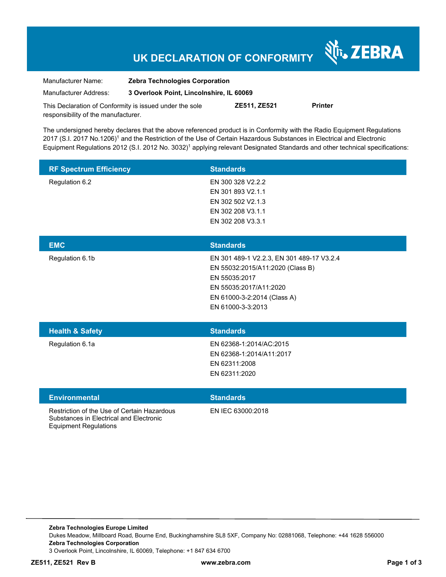# **UK DECLARATION OF CONFORMITY**

Nr. ZEBRA

| Manufacturer Name:                                      | <b>Zebra Technologies Corporation</b>    |                     |                |
|---------------------------------------------------------|------------------------------------------|---------------------|----------------|
| Manufacturer Address:                                   | 3 Overlook Point, Lincolnshire, IL 60069 |                     |                |
| This Declaration of Conformity is issued under the sole |                                          | <b>ZE511. ZE521</b> | <b>Printer</b> |

The undersigned hereby declares that the above referenced product is in Conformity with the Radio Equipment Regulations 2017 (S.I. 2017 No.1206)<sup>1</sup> and the Restriction of the Use of Certain Hazardous Substances in Electrical and Electronic Equipment Regulations 2012 (S.I. 2012 No. 3032)<sup>1</sup> applying relevant Designated Standards and other technical specifications:

| <b>RF Spectrum Efficiency</b> | <b>Standards</b>                          |
|-------------------------------|-------------------------------------------|
| Regulation 6.2                | EN 300 328 V2.2.2                         |
|                               | EN 301 893 V2.1.1                         |
|                               | EN 302 502 V2.1.3                         |
|                               | EN 302 208 V3.1.1                         |
|                               | EN 302 208 V3.3.1                         |
|                               |                                           |
| <b>EMC</b>                    | <b>Standards</b>                          |
| Regulation 6.1b               | EN 301 489-1 V2.2.3, EN 301 489-17 V3.2.4 |
|                               | EN 55032:2015/A11:2020 (Class B)          |
|                               | EN 55035:2017                             |
|                               | EN 55035:2017/A11:2020                    |
|                               | EN 61000-3-2:2014 (Class A)               |
|                               | EN 61000-3-3:2013                         |
|                               |                                           |

| <b>Health &amp; Safety</b> | <b>Standards</b>         |
|----------------------------|--------------------------|
| Regulation 6.1a            | EN 62368-1:2014/AC:2015  |
|                            | EN 62368-1:2014/A11:2017 |
|                            | EN 62311:2008            |
|                            | EN 62311:2020            |
|                            |                          |

| <b>Environmental</b>                                                                                            | <b>Standards</b>  |
|-----------------------------------------------------------------------------------------------------------------|-------------------|
| Restriction of the Use of Certain Hazardous<br>Substances in Electrical and Electronic<br>Equipment Regulations | EN IEC 63000:2018 |

responsibility of the manufacturer.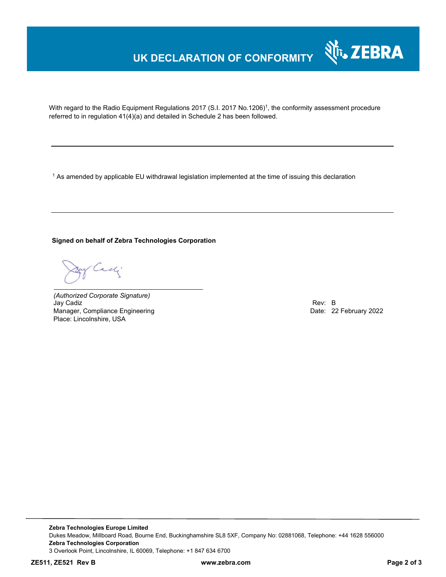### **UK DECLARATION OF CONFORMITY**



With regard to the Radio Equipment Regulations 2017 (S.I. 2017 No.1206)<sup>1</sup>, the conformity assessment procedure referred to in regulation 41(4)(a) and detailed in Schedule 2 has been followed.

 $^{\rm 1}$  As amended by applicable EU withdrawal legislation implemented at the time of issuing this declaration

**Signed on behalf of Zebra Technologies Corporation** 

Cady

*(Authorized Corporate Signature)* Jay Cadiz Rev: B Manager, Compliance Engineering Place: Lincolnshire, USA